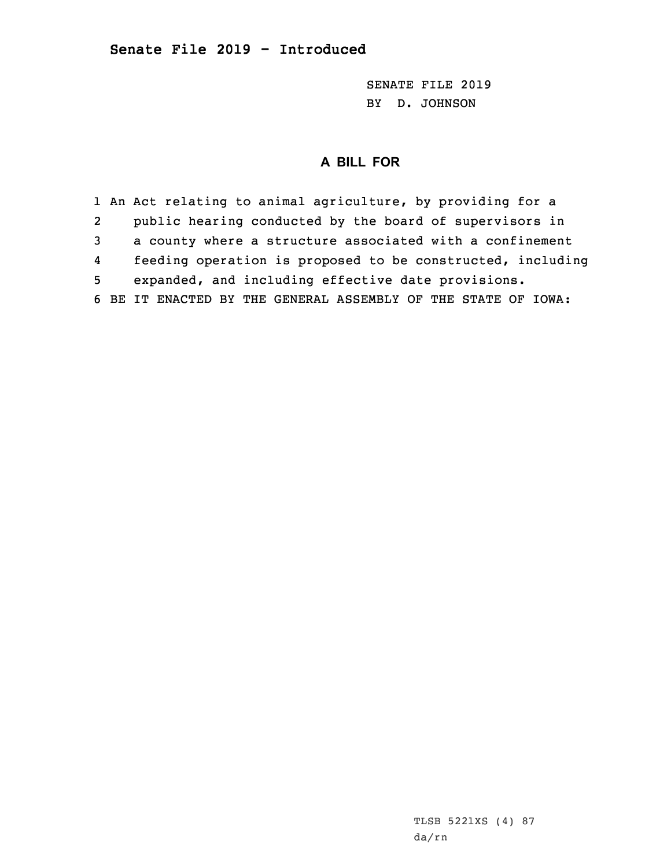SENATE FILE 2019 BY D. JOHNSON

## **A BILL FOR**

1 An Act relating to animal agriculture, by providing for <sup>a</sup> 2 public hearing conducted by the board of supervisors in 3 <sup>a</sup> county where <sup>a</sup> structure associated with <sup>a</sup> confinement 4 feeding operation is proposed to be constructed, including 5 expanded, and including effective date provisions. 6 BE IT ENACTED BY THE GENERAL ASSEMBLY OF THE STATE OF IOWA: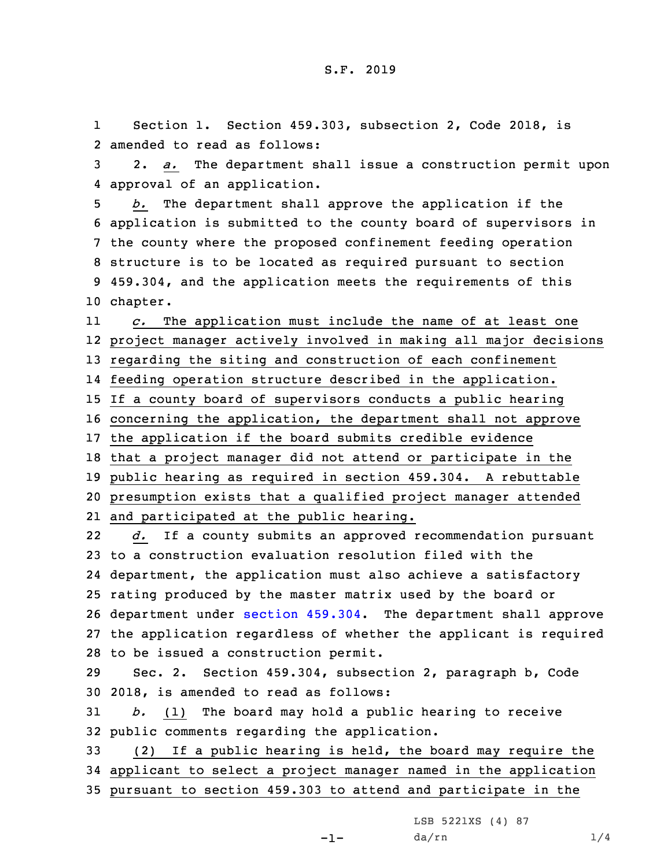1 Section 1. Section 459.303, subsection 2, Code 2018, is 2 amended to read as follows:

3 2. *a.* The department shall issue <sup>a</sup> construction permit upon 4 approval of an application.

 *b.* The department shall approve the application if the application is submitted to the county board of supervisors in the county where the proposed confinement feeding operation structure is to be located as required pursuant to section 459.304, and the application meets the requirements of this 10 chapter.

11 *c.* The application must include the name of at least one project manager actively involved in making all major decisions regarding the siting and construction of each confinement feeding operation structure described in the application. If <sup>a</sup> county board of supervisors conducts <sup>a</sup> public hearing concerning the application, the department shall not approve the application if the board submits credible evidence that <sup>a</sup> project manager did not attend or participate in the public hearing as required in section 459.304. <sup>A</sup> rebuttable

20 presumption exists that <sup>a</sup> qualified project manager attended 21 and participated at the public hearing.

22 *d.* If <sup>a</sup> county submits an approved recommendation pursuant to <sup>a</sup> construction evaluation resolution filed with the department, the application must also achieve <sup>a</sup> satisfactory rating produced by the master matrix used by the board or department under section [459.304](https://www.legis.iowa.gov/docs/code/2018/459.304.pdf). The department shall approve the application regardless of whether the applicant is required to be issued <sup>a</sup> construction permit.

29 Sec. 2. Section 459.304, subsection 2, paragraph b, Code 30 2018, is amended to read as follows:

31 *b.* (1) The board may hold <sup>a</sup> public hearing to receive 32 public comments regarding the application.

33 (2) If <sup>a</sup> public hearing is held, the board may require the 34 applicant to select <sup>a</sup> project manager named in the application 35 pursuant to section 459.303 to attend and participate in the

-1-

LSB 5221XS (4) 87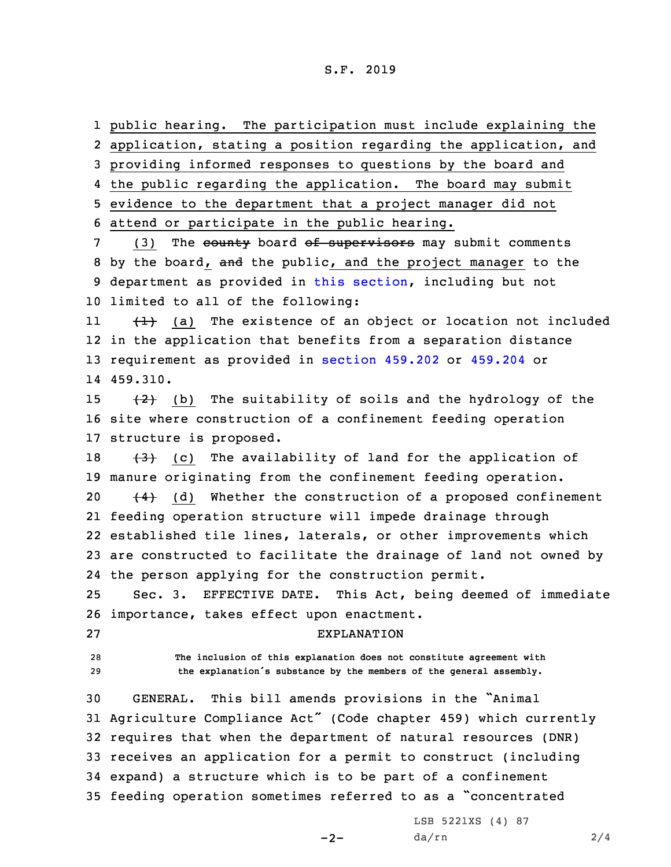## S.F. 2019

 public hearing. The participation must include explaining the application, stating <sup>a</sup> position regarding the application, and providing informed responses to questions by the board and the public regarding the application. The board may submit evidence to the department that <sup>a</sup> project manager did not attend or participate in the public hearing. 7 (3) The county board of supervisors may submit comments 8 by the board, and the public, and the project manager to the department as provided in this [section](https://www.legis.iowa.gov/docs/code/2018/459.304.pdf), including but not limited to all of the following: 11 $\{\pm\}$  (a) The existence of an object or location not included in the application that benefits from <sup>a</sup> separation distance requirement as provided in [section](https://www.legis.iowa.gov/docs/code/2018/459.202.pdf) 459.202 or [459.204](https://www.legis.iowa.gov/docs/code/2018/459.204.pdf) or 14 459.310.  $(2)$  (b) The suitability of soils and the hydrology of the site where construction of <sup>a</sup> confinement feeding operation structure is proposed.  $(3)$  (c) The availability of land for the application of manure originating from the confinement feeding operation.  $(4)$  (d) Whether the construction of a proposed confinement feeding operation structure will impede drainage through established tile lines, laterals, or other improvements which are constructed to facilitate the drainage of land not owned by the person applying for the construction permit. Sec. 3. EFFECTIVE DATE. This Act, being deemed of immediate importance, takes effect upon enactment. EXPLANATION **The inclusion of this explanation does not constitute agreement with the explanation's substance by the members of the general assembly.** GENERAL. This bill amends provisions in the "Animal Agriculture Compliance Act" (Code chapter 459) which currently requires that when the department of natural resources (DNR) receives an application for <sup>a</sup> permit to construct (including expand) <sup>a</sup> structure which is to be part of <sup>a</sup> confinement feeding operation sometimes referred to as <sup>a</sup> "concentrated

 $-2-$ 

LSB 5221XS (4) 87 da/rn 2/4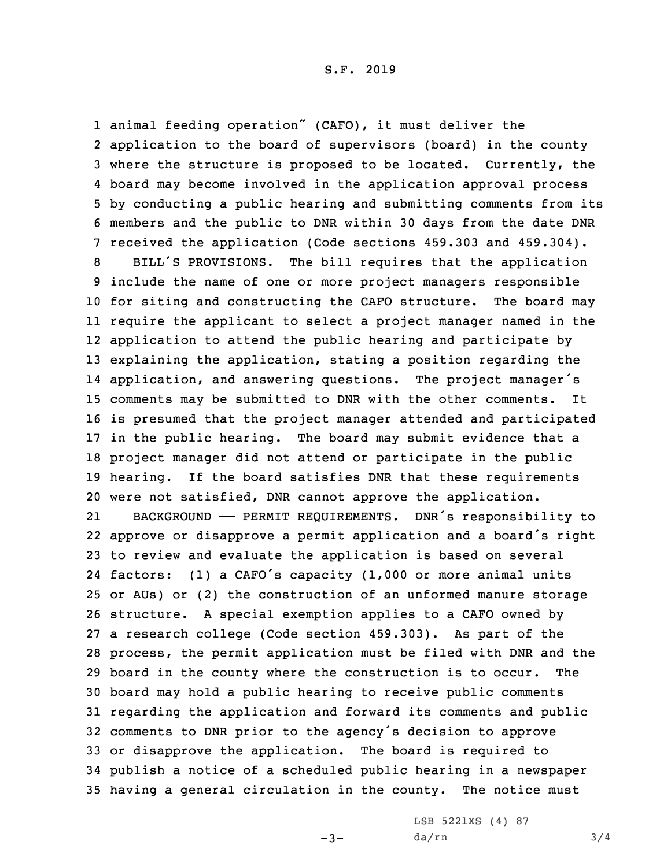animal feeding operation" (CAFO), it must deliver the application to the board of supervisors (board) in the county where the structure is proposed to be located. Currently, the board may become involved in the application approval process by conducting <sup>a</sup> public hearing and submitting comments from its members and the public to DNR within 30 days from the date DNR received the application (Code sections 459.303 and 459.304). BILL'S PROVISIONS. The bill requires that the application include the name of one or more project managers responsible for siting and constructing the CAFO structure. The board may require the applicant to select <sup>a</sup> project manager named in the application to attend the public hearing and participate by explaining the application, stating <sup>a</sup> position regarding the application, and answering questions. The project manager's comments may be submitted to DNR with the other comments. It is presumed that the project manager attended and participated in the public hearing. The board may submit evidence that <sup>a</sup> project manager did not attend or participate in the public hearing. If the board satisfies DNR that these requirements were not satisfied, DNR cannot approve the application. 21 BACKGROUND —— PERMIT REQUIREMENTS. DNR's responsibility to approve or disapprove <sup>a</sup> permit application and <sup>a</sup> board's right to review and evaluate the application is based on several factors: (1) <sup>a</sup> CAFO's capacity (1,000 or more animal units or AUs) or (2) the construction of an unformed manure storage structure. <sup>A</sup> special exemption applies to <sup>a</sup> CAFO owned by <sup>a</sup> research college (Code section 459.303). As part of the process, the permit application must be filed with DNR and the board in the county where the construction is to occur. The board may hold <sup>a</sup> public hearing to receive public comments regarding the application and forward its comments and public comments to DNR prior to the agency's decision to approve or disapprove the application. The board is required to publish <sup>a</sup> notice of <sup>a</sup> scheduled public hearing in <sup>a</sup> newspaper having <sup>a</sup> general circulation in the county. The notice must

 $-3-$ 

LSB 5221XS (4) 87 da/rn 3/4